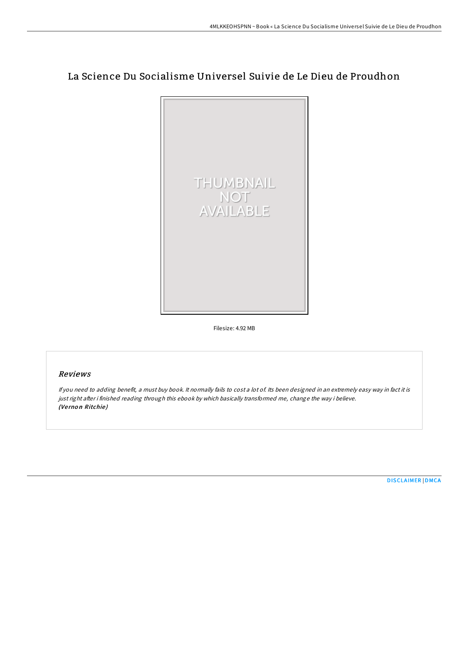# La Science Du Socialisme Universel Suivie de Le Dieu de Proudhon



Filesize: 4.92 MB

#### Reviews

If you need to adding benefit, <sup>a</sup> must buy book. It normally fails to cost <sup>a</sup> lot of. Its been designed in an extremely easy way in fact it is just right after i finished reading through this ebook by which basically transformed me, change the way i believe. (Vernon Ritchie)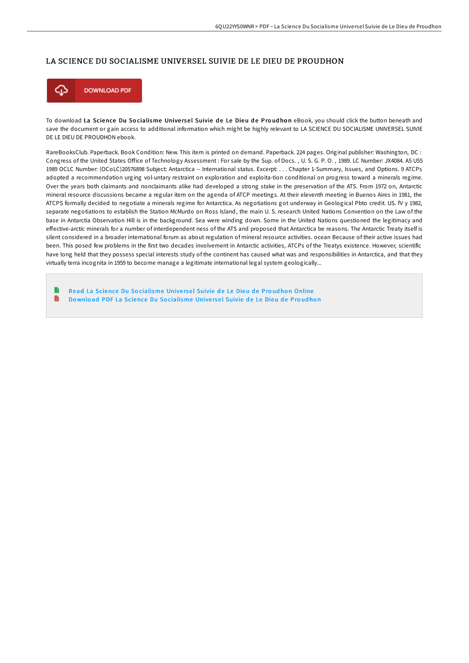## LA SCIENCE DU SOCIALISME UNIVERSEL SUIVIE DE LE DIEU DE PROUDHON



To download La Science Du Socialisme Universel Suivie de Le Dieu de Proudhon eBook, you should click the button beneath and save the document or gain access to additional information which might be highly relevant to LA SCIENCE DU SOCIALISME UNIVERSEL SUIVIE DE LE DIEU DE PROUDHON ebook.

RareBooksClub. Paperback. Book Condition: New. This item is printed on demand. Paperback. 224 pages. Original publisher: Washington, DC : Congress of the United States Office of Technology Assessment : For sale by the Sup. of Docs., U. S. G. P. O., 1989. LC Number: JX4084. A5 U55 1989 OCLC Number: (OCoLC)20576898 Subject: Antarctica -- International status. Excerpt: . . . Chapter 1-Summary, Issues, and Options. 9 ATCPs adopted a recommendation urging vol-untary restraint on exploration and exploita-tion conditional on progress toward a minerals regime. Over the years both claimants and nonclaimants alike had developed a strong stake in the preservation of the ATS. From 1972 on, Antarctic mineral resource discussions became a regular item on the agenda of ATCP meetings. At their eleventh meeting in Buenos Aires in 1981, the ATCPS formally decided to negotiate a minerals regime for Antarctica. As negotiations got underway in Geological Pbto credit. US. fV y 1982, separate negotiations to establish the Station McMurdo on Ross Island, the main U. S. research United Nations Convention on the Law of the base in Antarctia Observation Hill is in the background. Sea were winding down. Some in the United Nations questioned the legitimacy and effective-arctic minerals for a number of interdependent ness of the ATS and proposed that Antarctica be reasons. The Antarctic Treaty itself is silent considered in a broader international forum as about regulation of mineral resource activities. ocean Because of their active issues had been. This posed few problems in the first two decades involvement in Antarctic activities, ATCPs of the Treatys existence. However, scientific have long held that they possess special interests study of the continent has caused what was and responsibilities in Antarctica, and that they virtually terra incognita in 1959 to become manage a legitimate international legal system geologically...

B Read La Science Du So[cialisme](http://almighty24.tech/la-science-du-socialisme-universel-suivie-de-le-.html) Universel Suivie de Le Dieu de Proudhon Online  $\blacksquare$ Do wnload PDF La Science Du So[cialisme](http://almighty24.tech/la-science-du-socialisme-universel-suivie-de-le-.html) Universel Suivie de Le Dieu de Proudhon